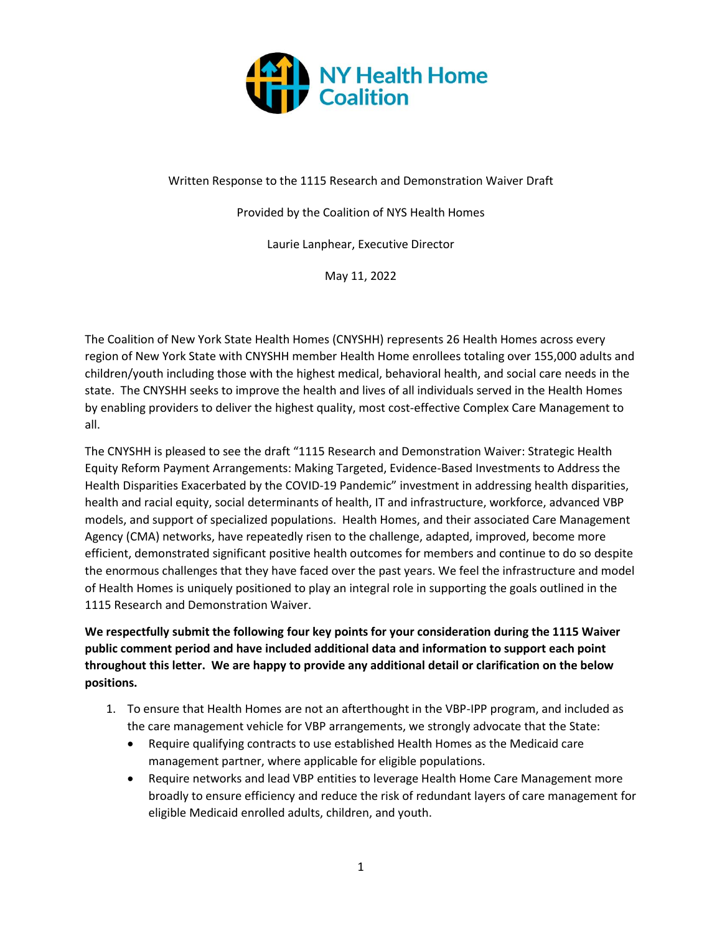

Written Response to the 1115 Research and Demonstration Waiver Draft

Provided by the Coalition of NYS Health Homes

Laurie Lanphear, Executive Director

May 11, 2022

The Coalition of New York State Health Homes (CNYSHH) represents 26 Health Homes across every region of New York State with CNYSHH member Health Home enrollees totaling over 155,000 adults and children/youth including those with the highest medical, behavioral health, and social care needs in the state. The CNYSHH seeks to improve the health and lives of all individuals served in the Health Homes by enabling providers to deliver the highest quality, most cost-effective Complex Care Management to all.

The CNYSHH is pleased to see the draft "1115 Research and Demonstration Waiver: Strategic Health Equity Reform Payment Arrangements: Making Targeted, Evidence-Based Investments to Address the Health Disparities Exacerbated by the COVID-19 Pandemic" investment in addressing health disparities, health and racial equity, social determinants of health, IT and infrastructure, workforce, advanced VBP models, and support of specialized populations. Health Homes, and their associated Care Management Agency (CMA) networks, have repeatedly risen to the challenge, adapted, improved, become more efficient, demonstrated significant positive health outcomes for members and continue to do so despite the enormous challenges that they have faced over the past years. We feel the infrastructure and model of Health Homes is uniquely positioned to play an integral role in supporting the goals outlined in the 1115 Research and Demonstration Waiver.

**We respectfully submit the following four key points for your consideration during the 1115 Waiver public comment period and have included additional data and information to support each point throughout this letter. We are happy to provide any additional detail or clarification on the below positions.**

- 1. To ensure that Health Homes are not an afterthought in the VBP-IPP program, and included as the care management vehicle for VBP arrangements, we strongly advocate that the State:
	- Require qualifying contracts to use established Health Homes as the Medicaid care management partner, where applicable for eligible populations.
	- Require networks and lead VBP entities to leverage Health Home Care Management more broadly to ensure efficiency and reduce the risk of redundant layers of care management for eligible Medicaid enrolled adults, children, and youth.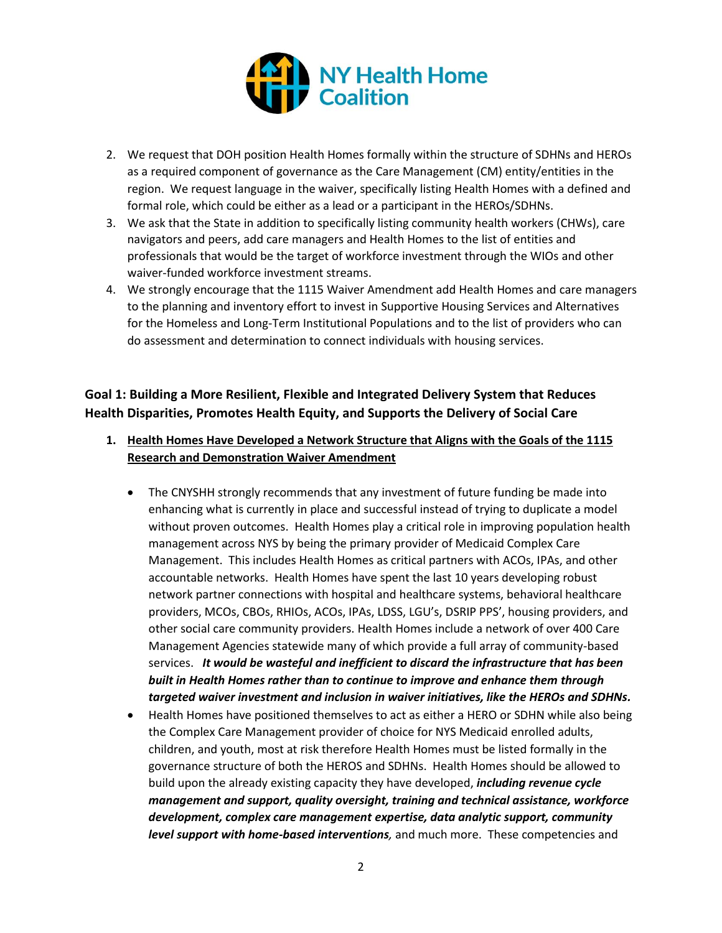

- 2. We request that DOH position Health Homes formally within the structure of SDHNs and HEROs as a required component of governance as the Care Management (CM) entity/entities in the region. We request language in the waiver, specifically listing Health Homes with a defined and formal role, which could be either as a lead or a participant in the HEROs/SDHNs.
- 3. We ask that the State in addition to specifically listing community health workers (CHWs), care navigators and peers, add care managers and Health Homes to the list of entities and professionals that would be the target of workforce investment through the WIOs and other waiver-funded workforce investment streams.
- 4. We strongly encourage that the 1115 Waiver Amendment add Health Homes and care managers to the planning and inventory effort to invest in Supportive Housing Services and Alternatives for the Homeless and Long-Term Institutional Populations and to the list of providers who can do assessment and determination to connect individuals with housing services.

## **Goal 1: Building a More Resilient, Flexible and Integrated Delivery System that Reduces Health Disparities, Promotes Health Equity, and Supports the Delivery of Social Care**

- **1. Health Homes Have Developed a Network Structure that Aligns with the Goals of the 1115 Research and Demonstration Waiver Amendment**
	- The CNYSHH strongly recommends that any investment of future funding be made into enhancing what is currently in place and successful instead of trying to duplicate a model without proven outcomes. Health Homes play a critical role in improving population health management across NYS by being the primary provider of Medicaid Complex Care Management. This includes Health Homes as critical partners with ACOs, IPAs, and other accountable networks. Health Homes have spent the last 10 years developing robust network partner connections with hospital and healthcare systems, behavioral healthcare providers, MCOs, CBOs, RHIOs, ACOs, IPAs, LDSS, LGU's, DSRIP PPS', housing providers, and other social care community providers. Health Homes include a network of over 400 Care Management Agencies statewide many of which provide a full array of community-based services. *It would be wasteful and inefficient to discard the infrastructure that has been built in Health Homes rather than to continue to improve and enhance them through targeted waiver investment and inclusion in waiver initiatives, like the HEROs and SDHNs.*
	- Health Homes have positioned themselves to act as either a HERO or SDHN while also being the Complex Care Management provider of choice for NYS Medicaid enrolled adults, children, and youth, most at risk therefore Health Homes must be listed formally in the governance structure of both the HEROS and SDHNs. Health Homes should be allowed to build upon the already existing capacity they have developed, *including revenue cycle management and support, quality oversight, training and technical assistance, workforce development, complex care management expertise, data analytic support, community level support with home-based interventions,* and much more. These competencies and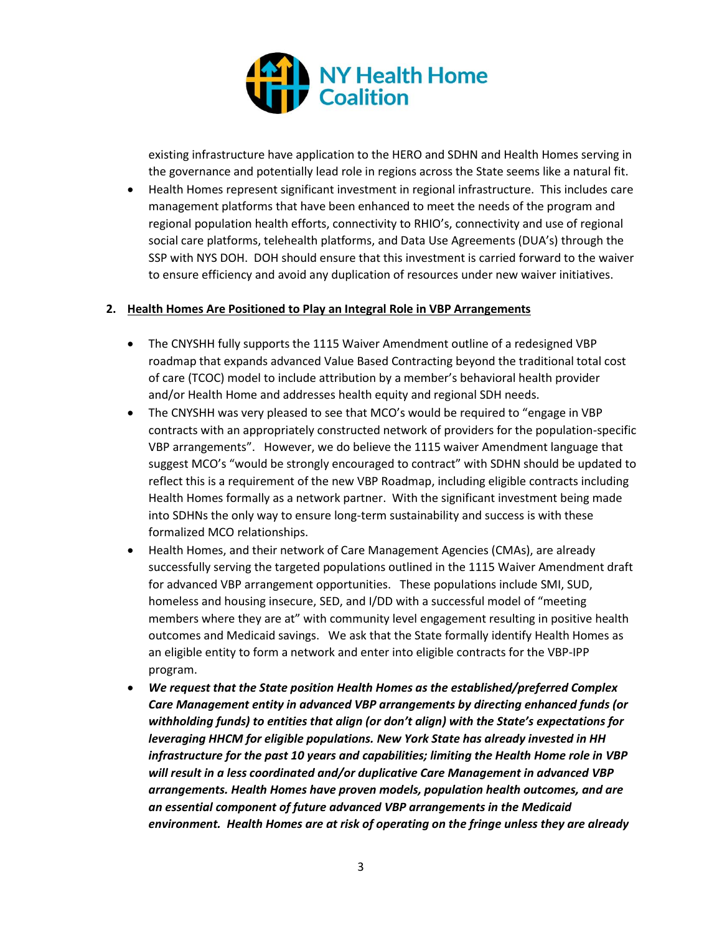

existing infrastructure have application to the HERO and SDHN and Health Homes serving in the governance and potentially lead role in regions across the State seems like a natural fit.

• Health Homes represent significant investment in regional infrastructure. This includes care management platforms that have been enhanced to meet the needs of the program and regional population health efforts, connectivity to RHIO's, connectivity and use of regional social care platforms, telehealth platforms, and Data Use Agreements (DUA's) through the SSP with NYS DOH. DOH should ensure that this investment is carried forward to the waiver to ensure efficiency and avoid any duplication of resources under new waiver initiatives.

#### **2. Health Homes Are Positioned to Play an Integral Role in VBP Arrangements**

- The CNYSHH fully supports the 1115 Waiver Amendment outline of a redesigned VBP roadmap that expands advanced Value Based Contracting beyond the traditional total cost of care (TCOC) model to include attribution by a member's behavioral health provider and/or Health Home and addresses health equity and regional SDH needs.
- The CNYSHH was very pleased to see that MCO's would be required to "engage in VBP contracts with an appropriately constructed network of providers for the population-specific VBP arrangements". However, we do believe the 1115 waiver Amendment language that suggest MCO's "would be strongly encouraged to contract" with SDHN should be updated to reflect this is a requirement of the new VBP Roadmap, including eligible contracts including Health Homes formally as a network partner. With the significant investment being made into SDHNs the only way to ensure long-term sustainability and success is with these formalized MCO relationships.
- Health Homes, and their network of Care Management Agencies (CMAs), are already successfully serving the targeted populations outlined in the 1115 Waiver Amendment draft for advanced VBP arrangement opportunities. These populations include SMI, SUD, homeless and housing insecure, SED, and I/DD with a successful model of "meeting members where they are at" with community level engagement resulting in positive health outcomes and Medicaid savings. We ask that the State formally identify Health Homes as an eligible entity to form a network and enter into eligible contracts for the VBP-IPP program.
- *We request that the State position Health Homes as the established/preferred Complex Care Management entity in advanced VBP arrangements by directing enhanced funds (or withholding funds) to entities that align (or don't align) with the State's expectations for leveraging HHCM for eligible populations. New York State has already invested in HH infrastructure for the past 10 years and capabilities; limiting the Health Home role in VBP will result in a less coordinated and/or duplicative Care Management in advanced VBP arrangements. Health Homes have proven models, population health outcomes, and are an essential component of future advanced VBP arrangements in the Medicaid environment. Health Homes are at risk of operating on the fringe unless they are already*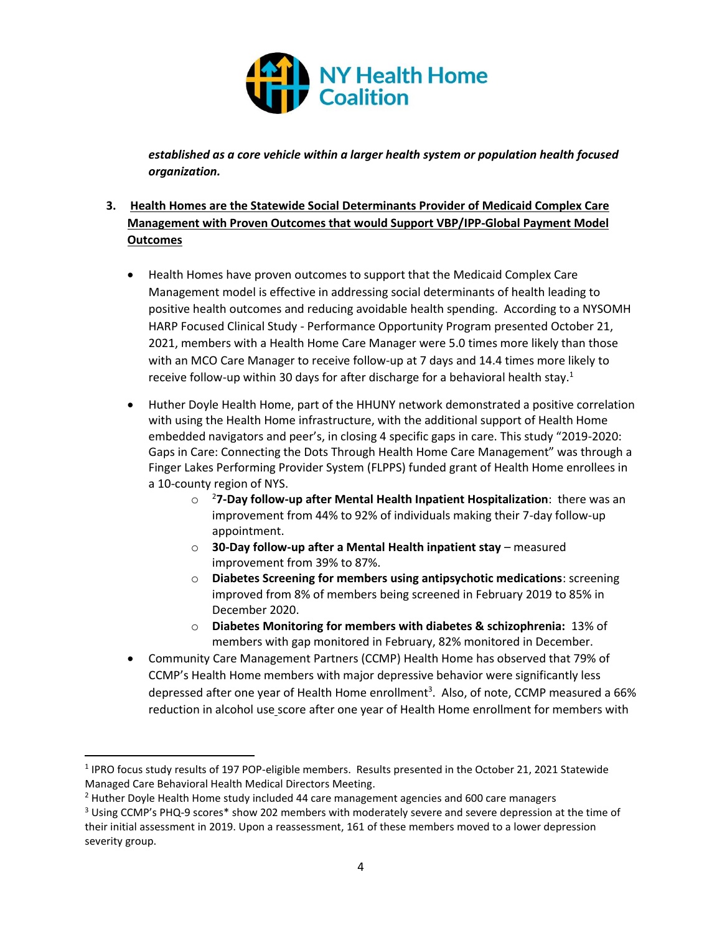

*established as a core vehicle within a larger health system or population health focused organization.*

### **3. Health Homes are the Statewide Social Determinants Provider of Medicaid Complex Care Management with Proven Outcomes that would Support VBP/IPP-Global Payment Model Outcomes**

- Health Homes have proven outcomes to support that the Medicaid Complex Care Management model is effective in addressing social determinants of health leading to positive health outcomes and reducing avoidable health spending. According to a NYSOMH HARP Focused Clinical Study - Performance Opportunity Program presented October 21, 2021, members with a Health Home Care Manager were 5.0 times more likely than those with an MCO Care Manager to receive follow-up at 7 days and 14.4 times more likely to receive follow-up within 30 days for after discharge for a behavioral health stay.<sup>1</sup>
- Huther Doyle Health Home, part of the HHUNY network demonstrated a positive correlation with using the Health Home infrastructure, with the additional support of Health Home embedded navigators and peer's, in closing 4 specific gaps in care. This study "2019-2020: Gaps in Care: Connecting the Dots Through Health Home Care Management" was through a Finger Lakes Performing Provider System (FLPPS) funded grant of Health Home enrollees in a 10-county region of NYS.
	- o <sup>2</sup>**7-Day follow-up after Mental Health Inpatient Hospitalization**: there was an improvement from 44% to 92% of individuals making their 7-day follow-up appointment.
	- o **30-Day follow-up after a Mental Health inpatient stay** measured improvement from 39% to 87%.
	- o **Diabetes Screening for members using antipsychotic medications**: screening improved from 8% of members being screened in February 2019 to 85% in December 2020.
	- o **Diabetes Monitoring for members with diabetes & schizophrenia:** 13% of members with gap monitored in February, 82% monitored in December.
- Community Care Management Partners (CCMP) Health Home has observed that 79% of CCMP's Health Home members with major depressive behavior were significantly less depressed after one year of Health Home enrollment<sup>3</sup>. Also, of note, CCMP measured a 66% reduction in alcohol use score after one year of Health Home enrollment for members with

<sup>&</sup>lt;sup>1</sup> IPRO focus study results of 197 POP-eligible members. Results presented in the October 21, 2021 Statewide Managed Care Behavioral Health Medical Directors Meeting.

 $<sup>2</sup>$  Huther Doyle Health Home study included 44 care management agencies and 600 care managers</sup>

<sup>&</sup>lt;sup>3</sup> Using CCMP's PHQ-9 scores<sup>\*</sup> show 202 members with moderately severe and severe depression at the time of their initial assessment in 2019. Upon a reassessment, 161 of these members moved to a lower depression severity group.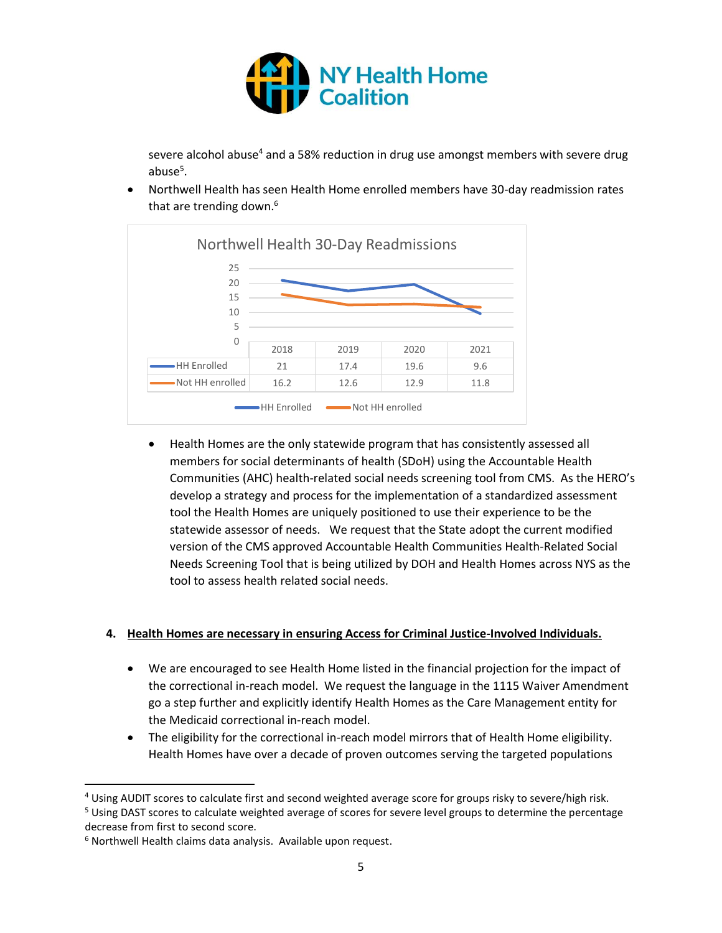

severe alcohol abuse<sup>4</sup> and a 58% reduction in drug use amongst members with severe drug abuse<sup>5</sup>.

• Northwell Health has seen Health Home enrolled members have 30-day readmission rates that are trending down.<sup>6</sup>



• Health Homes are the only statewide program that has consistently assessed all members for social determinants of health (SDoH) using the Accountable Health Communities (AHC) health-related social needs screening tool from CMS. As the HERO's develop a strategy and process for the implementation of a standardized assessment tool the Health Homes are uniquely positioned to use their experience to be the statewide assessor of needs. We request that the State adopt the current modified version of the CMS approved Accountable Health Communities Health-Related Social Needs Screening Tool that is being utilized by DOH and Health Homes across NYS as the tool to assess health related social needs.

#### **4. Health Homes are necessary in ensuring Access for Criminal Justice-Involved Individuals.**

- We are encouraged to see Health Home listed in the financial projection for the impact of the correctional in-reach model. We request the language in the 1115 Waiver Amendment go a step further and explicitly identify Health Homes as the Care Management entity for the Medicaid correctional in-reach model.
- The eligibility for the correctional in-reach model mirrors that of Health Home eligibility. Health Homes have over a decade of proven outcomes serving the targeted populations

<sup>4</sup> Using AUDIT scores to calculate first and second weighted average score for groups risky to severe/high risk.

<sup>&</sup>lt;sup>5</sup> Using DAST scores to calculate weighted average of scores for severe level groups to determine the percentage decrease from first to second score.

<sup>6</sup> Northwell Health claims data analysis. Available upon request.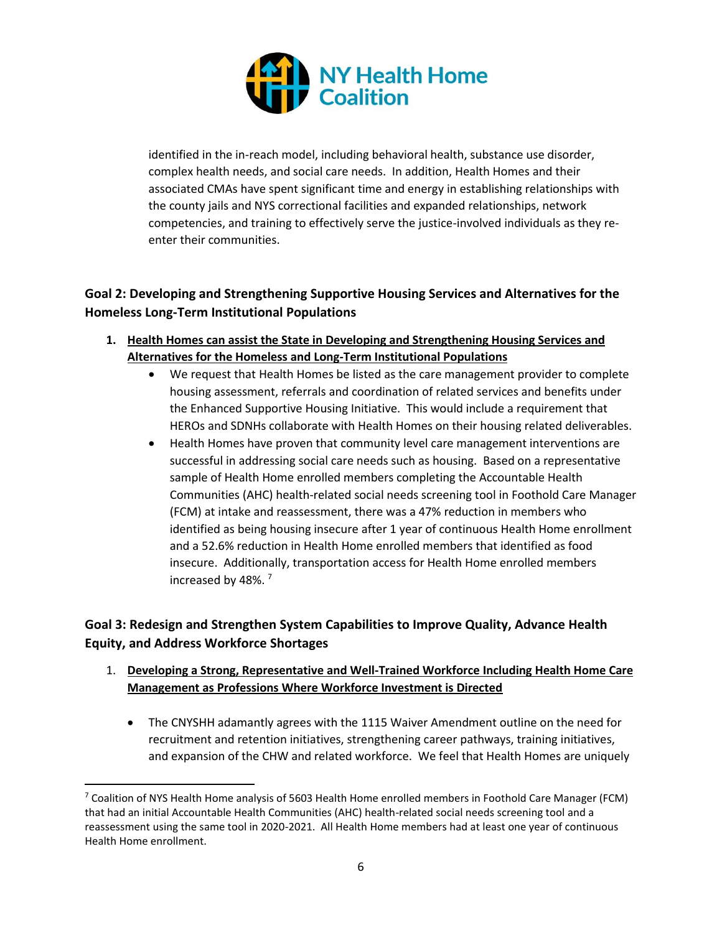

identified in the in-reach model, including behavioral health, substance use disorder, complex health needs, and social care needs. In addition, Health Homes and their associated CMAs have spent significant time and energy in establishing relationships with the county jails and NYS correctional facilities and expanded relationships, network competencies, and training to effectively serve the justice-involved individuals as they reenter their communities.

## **Goal 2: Developing and Strengthening Supportive Housing Services and Alternatives for the Homeless Long-Term Institutional Populations**

- **1. Health Homes can assist the State in Developing and Strengthening Housing Services and Alternatives for the Homeless and Long-Term Institutional Populations**
	- We request that Health Homes be listed as the care management provider to complete housing assessment, referrals and coordination of related services and benefits under the Enhanced Supportive Housing Initiative. This would include a requirement that HEROs and SDNHs collaborate with Health Homes on their housing related deliverables.
	- Health Homes have proven that community level care management interventions are successful in addressing social care needs such as housing. Based on a representative sample of Health Home enrolled members completing the Accountable Health Communities (AHC) health-related social needs screening tool in Foothold Care Manager (FCM) at intake and reassessment, there was a 47% reduction in members who identified as being housing insecure after 1 year of continuous Health Home enrollment and a 52.6% reduction in Health Home enrolled members that identified as food insecure. Additionally, transportation access for Health Home enrolled members increased by 48%. <sup>7</sup>

# **Goal 3: Redesign and Strengthen System Capabilities to Improve Quality, Advance Health Equity, and Address Workforce Shortages**

- 1. **Developing a Strong, Representative and Well-Trained Workforce Including Health Home Care Management as Professions Where Workforce Investment is Directed**
	- The CNYSHH adamantly agrees with the 1115 Waiver Amendment outline on the need for recruitment and retention initiatives, strengthening career pathways, training initiatives, and expansion of the CHW and related workforce. We feel that Health Homes are uniquely

 $7$  Coalition of NYS Health Home analysis of 5603 Health Home enrolled members in Foothold Care Manager (FCM) that had an initial Accountable Health Communities (AHC) health-related social needs screening tool and a reassessment using the same tool in 2020-2021. All Health Home members had at least one year of continuous Health Home enrollment.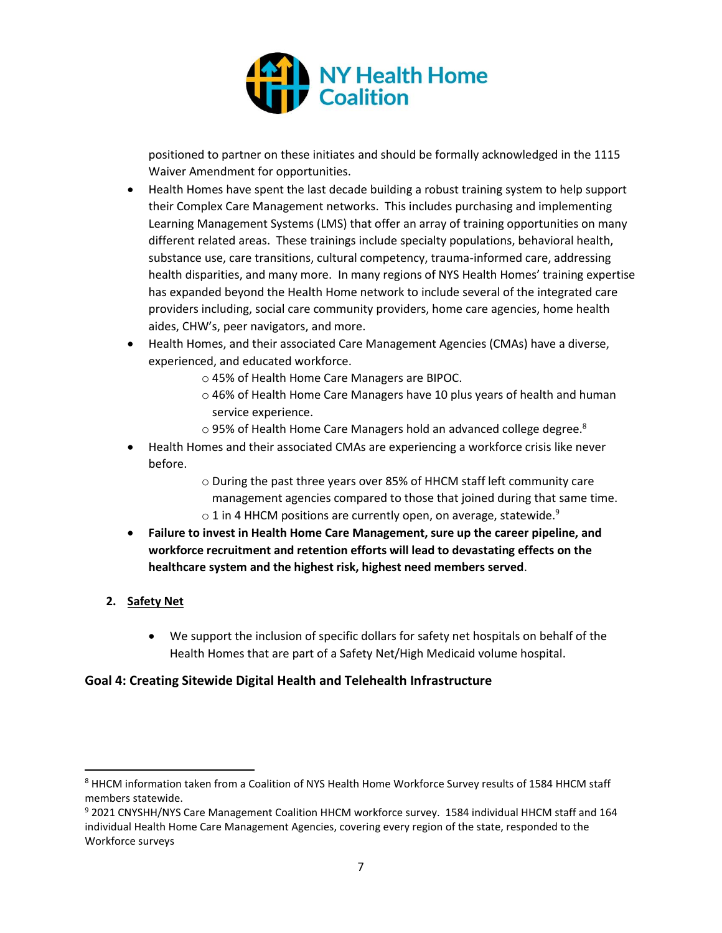

positioned to partner on these initiates and should be formally acknowledged in the 1115 Waiver Amendment for opportunities.

- Health Homes have spent the last decade building a robust training system to help support their Complex Care Management networks. This includes purchasing and implementing Learning Management Systems (LMS) that offer an array of training opportunities on many different related areas. These trainings include specialty populations, behavioral health, substance use, care transitions, cultural competency, trauma-informed care, addressing health disparities, and many more. In many regions of NYS Health Homes' training expertise has expanded beyond the Health Home network to include several of the integrated care providers including, social care community providers, home care agencies, home health aides, CHW's, peer navigators, and more.
- Health Homes, and their associated Care Management Agencies (CMAs) have a diverse, experienced, and educated workforce.
	- o 45% of Health Home Care Managers are BIPOC.
	- o 46% of Health Home Care Managers have 10 plus years of health and human service experience.
	- $\circ$  95% of Health Home Care Managers hold an advanced college degree.<sup>8</sup>
- Health Homes and their associated CMAs are experiencing a workforce crisis like never before.
	- o During the past three years over 85% of HHCM staff left community care management agencies compared to those that joined during that same time.  $\circ$  1 in 4 HHCM positions are currently open, on average, statewide.<sup>9</sup>
- **Failure to invest in Health Home Care Management, sure up the career pipeline, and workforce recruitment and retention efforts will lead to devastating effects on the healthcare system and the highest risk, highest need members served**.

### **2. Safety Net**

• We support the inclusion of specific dollars for safety net hospitals on behalf of the Health Homes that are part of a Safety Net/High Medicaid volume hospital.

### **Goal 4: Creating Sitewide Digital Health and Telehealth Infrastructure**

<sup>&</sup>lt;sup>8</sup> HHCM information taken from a Coalition of NYS Health Home Workforce Survey results of 1584 HHCM staff members statewide.

<sup>9</sup> 2021 CNYSHH/NYS Care Management Coalition HHCM workforce survey. 1584 individual HHCM staff and 164 individual Health Home Care Management Agencies, covering every region of the state, responded to the Workforce surveys